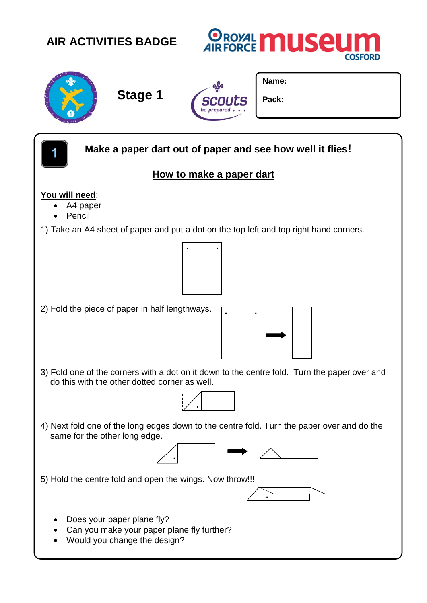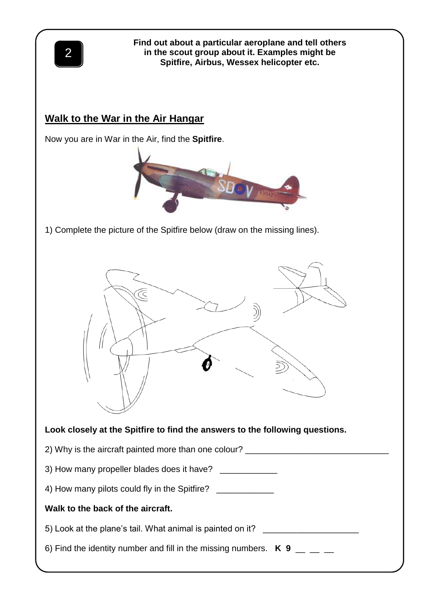

**Find out about a particular aeroplane and tell others in the scout group about it. Examples might be Spitfire, Airbus, Wessex helicopter etc.**

## **Walk to the War in the Air Hangar**

Now you are in War in the Air, find the **Spitfire**.



1) Complete the picture of the Spitfire below (draw on the missing lines).

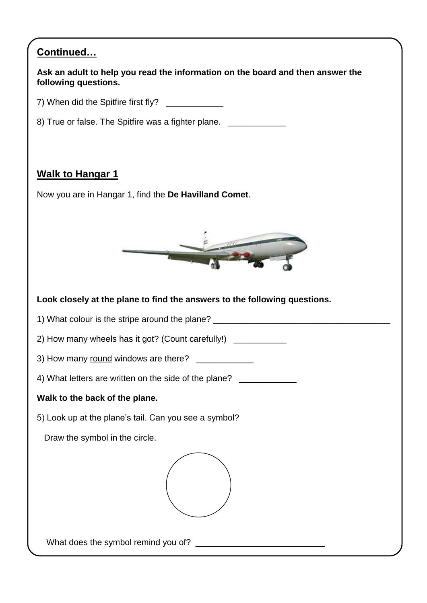| Continued                                                                                              |
|--------------------------------------------------------------------------------------------------------|
| Ask an adult to help you read the information on the board and then answer the<br>following questions. |
| 7) When did the Spitfire first fly?                                                                    |
| 8) True or false. The Spitfire was a fighter plane. ______________                                     |
|                                                                                                        |
| <b>Walk to Hangar 1</b>                                                                                |
| Now you are in Hangar 1, find the De Havilland Comet.                                                  |
|                                                                                                        |
|                                                                                                        |
|                                                                                                        |
| Look closely at the plane to find the answers to the following questions.                              |
| 1) What colour is the stripe around the plane? _________________________________                       |
| 2) How many wheels has it got? (Count carefully!) ____________                                         |
| 3) How many round windows are there?                                                                   |
| 4) What letters are written on the side of the plane? _____________                                    |
| Walk to the back of the plane.                                                                         |
| 5) Look up at the plane's tail. Can you see a symbol?                                                  |
| Draw the symbol in the circle.                                                                         |
|                                                                                                        |
|                                                                                                        |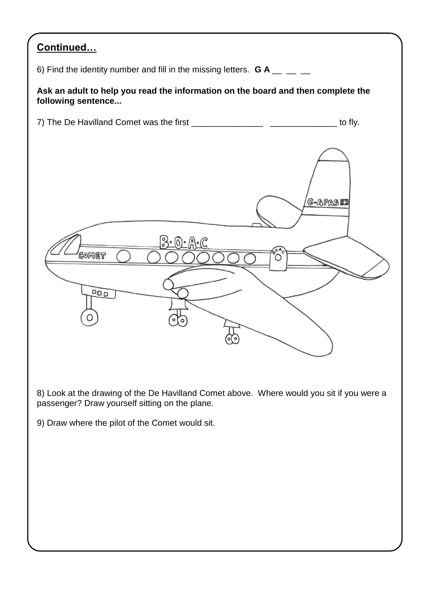## **Continued…**

6) Find the identity number and fill in the missing letters.  $G A$  \_\_ \_

## **Ask an adult to help you read the information on the board and then complete the following sentence...**



8) Look at the drawing of the De Havilland Comet above. Where would you sit if you were a passenger? Draw yourself sitting on the plane.

9) Draw where the pilot of the Comet would sit.